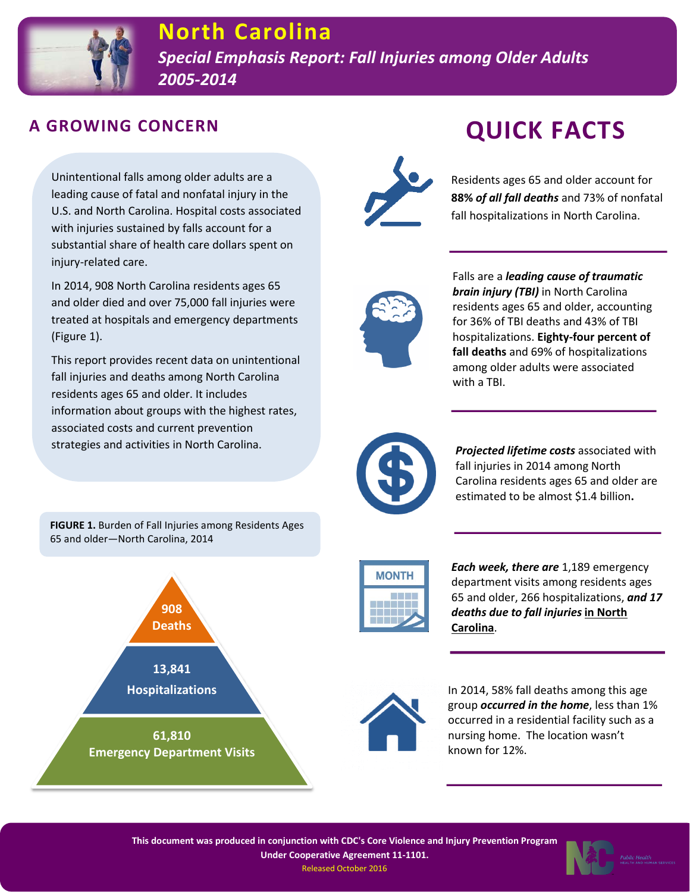

#### **A GROWING CONCERN**

Unintentional falls among older adults are a leading cause of fatal and nonfatal injury in the U.S. and North Carolina. Hospital costs associated with injuries sustained by falls account for a substantial share of health care dollars spent on injury-related care.

In 2014, 908 North Carolina residents ages 65 and older died and over 75,000 fall injuries were treated at hospitals and emergency departments (Figure 1).

This report provides recent data on unintentional fall injuries and deaths among North Carolina residents ages 65 and older. It includes information about groups with the highest rates, associated costs and current prevention strategies and activities in North Carolina.

**FIGURE 1.** Burden of Fall Injuries among Residents Ages 65 and older—North Carolina, 2014





# **QUICK FACTS**

Residents ages 65 and older account for **88%** *of all fall deaths* and 73% of nonfatal fall hospitalizations in North Carolina.



Falls are a *leading cause of traumatic brain injury (TBI)* in North Carolina residents ages 65 and older, accounting for 36% of TBI deaths and 43% of TBI hospitalizations. **Eighty-four percent of fall deaths** and 69% of hospitalizations among older adults were associated with a TBI.



*Projected lifetime costs* associated with fall injuries in 2014 among North Carolina residents ages 65 and older are estimated to be almost \$1.4 billion**.**



*Each week, there are* 1,189 emergency department visits among residents ages 65 and older, 266 hospitalizations, *and 17 deaths due to fall injuries* **in North Carolina**.



In 2014, 58% fall deaths among this age group *occurred in the home*, less than 1% occurred in a residential facility such as a nursing home. The location wasn't known for 12%.

**This document was produced in conjunction with CDC's Core Violence and Injury Prevention Program Under Cooperative Agreement 11-1101.** Released October 2016

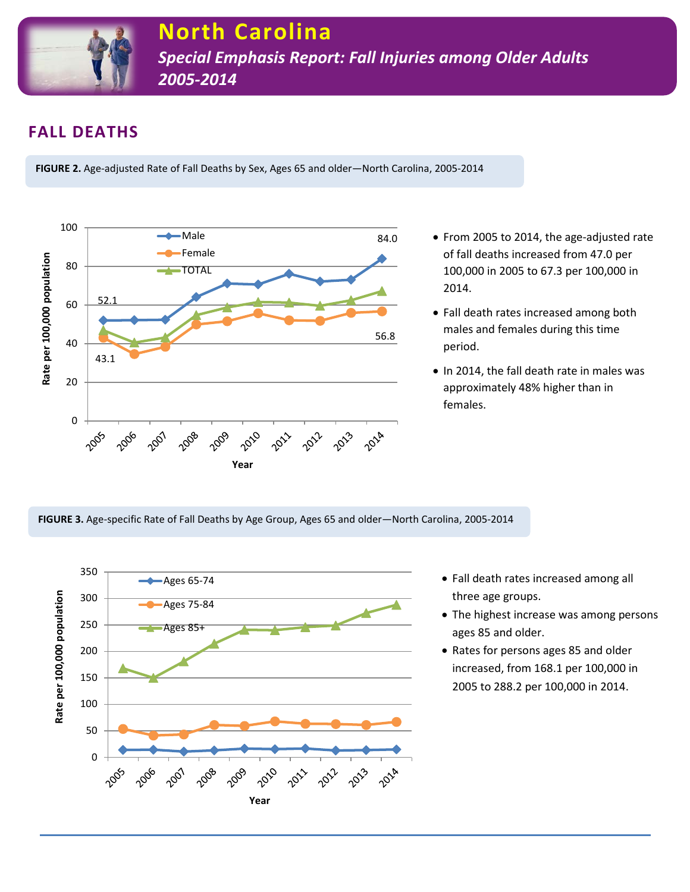

# **FALL DEATHS**

**FIGURE 2.** Age-adjusted Rate of Fall Deaths by Sex, Ages 65 and older—North Carolina, 2005-2014



- From 2005 to 2014, the age-adjusted rate of fall deaths increased from 47.0 per 100,000 in 2005 to 67.3 per 100,000 in 2014.
- Fall death rates increased among both males and females during this time period.
- In 2014, the fall death rate in males was approximately 48% higher than in females.

**FIGURE 3.** Age-specific Rate of Fall Deaths by Age Group, Ages 65 and older—North Carolina, 2005-2014



- Fall death rates increased among all three age groups.
- The highest increase was among persons ages 85 and older.
- Rates for persons ages 85 and older increased, from 168.1 per 100,000 in 2005 to 288.2 per 100,000 in 2014.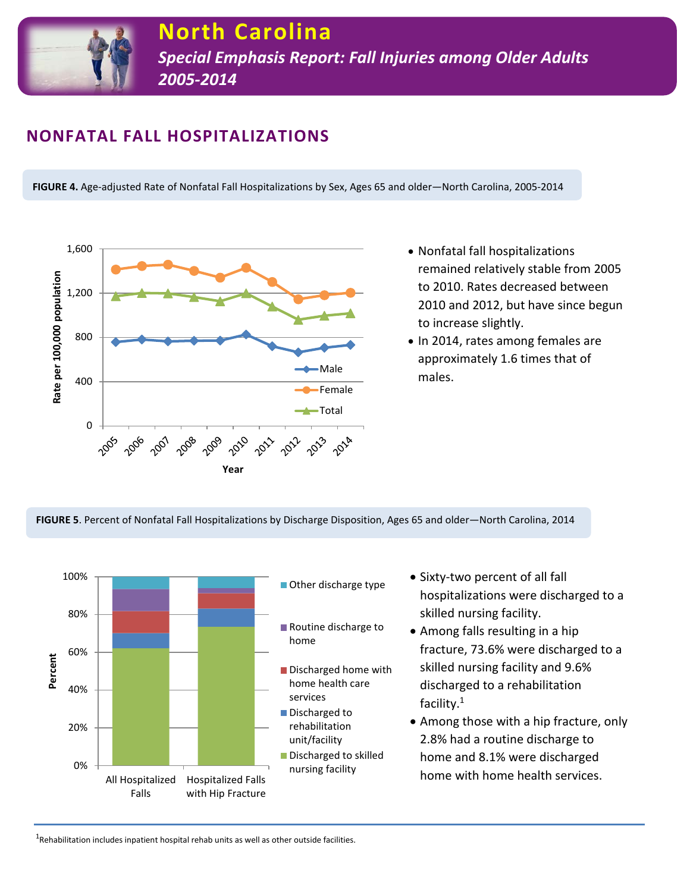

## **NONFATAL FALL HOSPITALIZATIONS**

**FIGURE 4.** Age-adjusted Rate of Nonfatal Fall Hospitalizations by Sex, Ages 65 and older—North Carolina, 2005-2014



- Nonfatal fall hospitalizations remained relatively stable from 2005 to 2010. Rates decreased between 2010 and 2012, but have since begun to increase slightly.
- In 2014, rates among females are approximately 1.6 times that of males.

**FIGURE 5**. Percent of Nonfatal Fall Hospitalizations by Discharge Disposition, Ages 65 and older—North Carolina, 2014



- Sixty-two percent of all fall hospitalizations were discharged to a skilled nursing facility.
- Among falls resulting in a hip fracture, 73.6% were discharged to a skilled nursing facility and 9.6% discharged to a rehabilitation facility.1
- Among those with a hip fracture, only 2.8% had a routine discharge to home and 8.1% were discharged home with home health services.

 $^{1}$ Rehabilitation includes inpatient hospital rehab units as well as other outside facilities.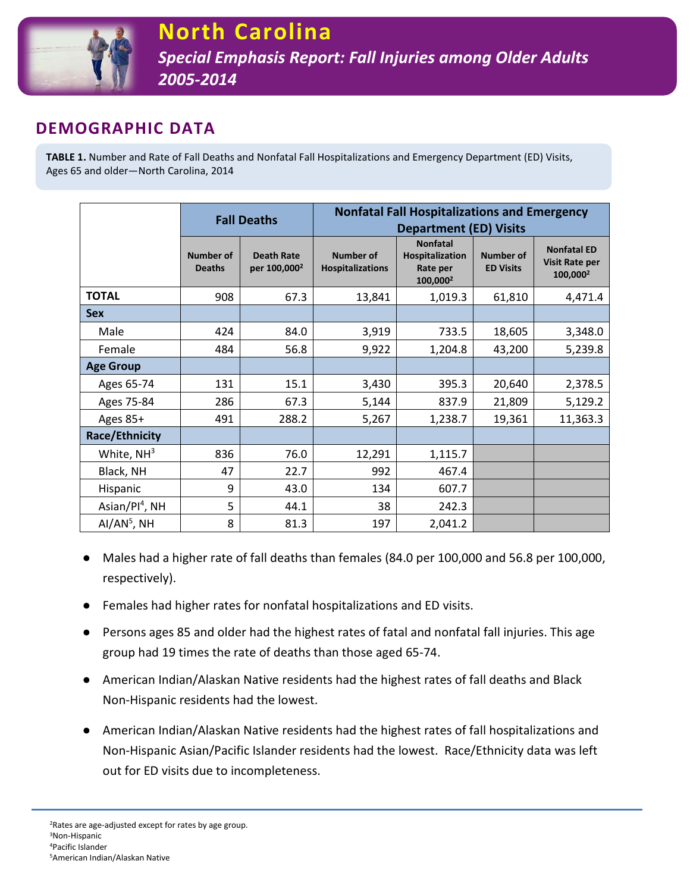

### **DEMOGRAPHIC DATA**

**TABLE 1.** Number and Rate of Fall Deaths and Nonfatal Fall Hospitalizations and Emergency Department (ED) Visits, Ages 65 and older—North Carolina, 2014

|                       | <b>Fall Deaths</b>                |                                               | <b>Nonfatal Fall Hospitalizations and Emergency</b> |                                                                        |                                      |                                                                     |
|-----------------------|-----------------------------------|-----------------------------------------------|-----------------------------------------------------|------------------------------------------------------------------------|--------------------------------------|---------------------------------------------------------------------|
|                       |                                   |                                               | <b>Department (ED) Visits</b>                       |                                                                        |                                      |                                                                     |
|                       | <b>Number of</b><br><b>Deaths</b> | <b>Death Rate</b><br>per 100,000 <sup>2</sup> | <b>Number of</b><br><b>Hospitalizations</b>         | <b>Nonfatal</b><br>Hospitalization<br>Rate per<br>100,000 <sup>2</sup> | <b>Number of</b><br><b>ED Visits</b> | <b>Nonfatal ED</b><br><b>Visit Rate per</b><br>100,000 <sup>2</sup> |
| <b>TOTAL</b>          | 908                               | 67.3                                          | 13,841                                              | 1,019.3                                                                | 61,810                               | 4,471.4                                                             |
| <b>Sex</b>            |                                   |                                               |                                                     |                                                                        |                                      |                                                                     |
| Male                  | 424                               | 84.0                                          | 3,919                                               | 733.5                                                                  | 18,605                               | 3,348.0                                                             |
| Female                | 484                               | 56.8                                          | 9,922                                               | 1,204.8                                                                | 43,200                               | 5,239.8                                                             |
| <b>Age Group</b>      |                                   |                                               |                                                     |                                                                        |                                      |                                                                     |
| Ages 65-74            | 131                               | 15.1                                          | 3,430                                               | 395.3                                                                  | 20,640                               | 2,378.5                                                             |
| Ages 75-84            | 286                               | 67.3                                          | 5,144                                               | 837.9                                                                  | 21,809                               | 5,129.2                                                             |
| Ages 85+              | 491                               | 288.2                                         | 5,267                                               | 1,238.7                                                                | 19,361                               | 11,363.3                                                            |
| <b>Race/Ethnicity</b> |                                   |                                               |                                                     |                                                                        |                                      |                                                                     |
| White, $NH3$          | 836                               | 76.0                                          | 12,291                                              | 1,115.7                                                                |                                      |                                                                     |
| Black, NH             | 47                                | 22.7                                          | 992                                                 | 467.4                                                                  |                                      |                                                                     |
| Hispanic              | 9                                 | 43.0                                          | 134                                                 | 607.7                                                                  |                                      |                                                                     |
| Asian/ $Pl4$ , NH     | 5                                 | 44.1                                          | 38                                                  | 242.3                                                                  |                                      |                                                                     |
| $AI/AN5$ , NH         | 8                                 | 81.3                                          | 197                                                 | 2,041.2                                                                |                                      |                                                                     |

- Males had a higher rate of fall deaths than females (84.0 per 100,000 and 56.8 per 100,000, respectively).
- Females had higher rates for nonfatal hospitalizations and ED visits.
- Persons ages 85 and older had the highest rates of fatal and nonfatal fall injuries. This age group had 19 times the rate of deaths than those aged 65-74.
- American Indian/Alaskan Native residents had the highest rates of fall deaths and Black Non-Hispanic residents had the lowest.
- American Indian/Alaskan Native residents had the highest rates of fall hospitalizations and Non-Hispanic Asian/Pacific Islander residents had the lowest. Race/Ethnicity data was left out for ED visits due to incompleteness.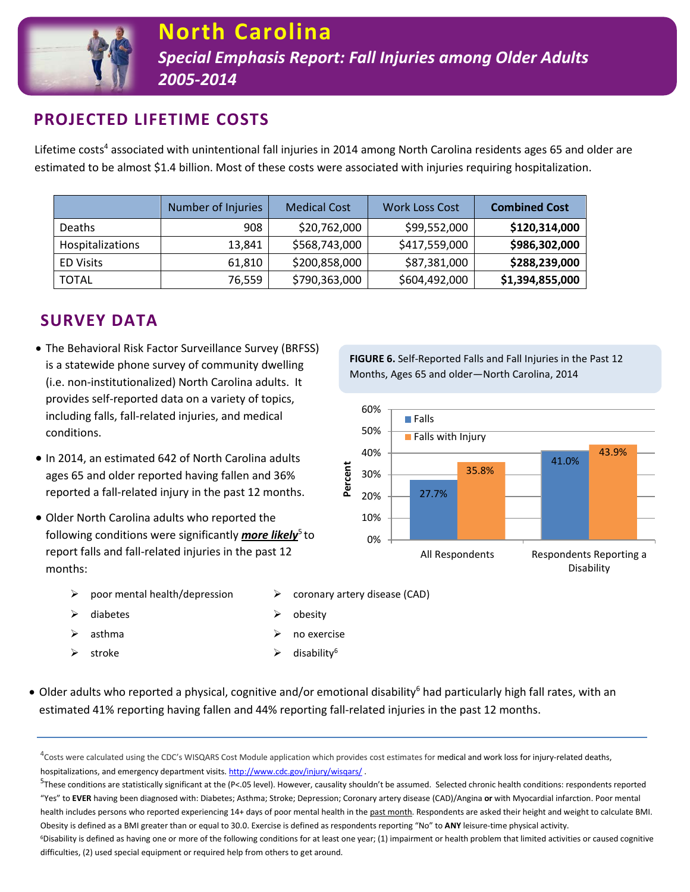

# **PROJECTED LIFETIME COSTS**

Lifetime costs<sup>4</sup> associated with unintentional fall injuries in 2014 among North Carolina residents ages 65 and older are estimated to be almost \$1.4 billion. Most of these costs were associated with injuries requiring hospitalization.

|                  | Number of Injuries | <b>Medical Cost</b> | <b>Work Loss Cost</b> | <b>Combined Cost</b> |
|------------------|--------------------|---------------------|-----------------------|----------------------|
| <b>Deaths</b>    | 908                | \$20,762,000        | \$99,552,000          | \$120,314,000        |
| Hospitalizations | 13,841             | \$568,743,000       | \$417,559,000         | \$986,302,000        |
| <b>ED Visits</b> | 61,810             | \$200,858,000       | \$87,381,000          | \$288,239,000        |
| <b>TOTAL</b>     | 76,559             | \$790,363,000       | \$604,492,000         | \$1,394,855,000      |

# **SURVEY DATA**

- The Behavioral Risk Factor Surveillance Survey (BRFSS) is a statewide phone survey of community dwelling (i.e. non-institutionalized) North Carolina adults. It provides self-reported data on a variety of topics, including falls, fall-related injuries, and medical conditions.
- In 2014, an estimated 642 of North Carolina adults ages 65 and older reported having fallen and 36% reported a fall-related injury in the past 12 months.
- Older North Carolina adults who reported the following conditions were significantly *more likely*<sup>5</sup> to report falls and fall-related injuries in the past 12 months:
	- $\triangleright$  poor mental health/depression  $\triangleright$  coronary artery disease (CAD)
	- $\triangleright$  diabetes  $\triangleright$  obesity
	-
	-
- 
- 
- $\Box$ asthma  $\Box$  no exercise
- $\triangleright$  stroke  $\triangleright$  disability<sup>6</sup>
- Older adults who reported a physical, cognitive and/or emotional disability<sup>6</sup> had particularly high fall rates, with an estimated 41% reporting having fallen and 44% reporting fall-related injuries in the past 12 months.

 $^{5}$ These conditions are statistically significant at the (P<.05 level). However, causality shouldn't be assumed. Selected chronic health conditions: respondents reported "Yes" to **EVER** having been diagnosed with: Diabetes; Asthma; Stroke; Depression; Coronary artery disease (CAD)/Angina **or** with Myocardial infarction. Poor mental health includes persons who reported experiencing 14+ days of poor mental health in the past month. Respondents are asked their height and weight to calculate BMI. Obesity is defined as a BMI greater than or equal to 30.0. Exercise is defined as respondents reporting "No" to **ANY** leisure-time physical activity.

<sup>6</sup>Disability is defined as having one or more of the following conditions for at least one year; (1) impairment or health problem that limited activities or caused cognitive difficulties, (2) used special equipment or required help from others to get around.

**FIGURE 6.** Self-Reported Falls and Fall Injuries in the Past 12 Months, Ages 65 and older—North Carolina, 2014



 $^4$ Costs were calculated using the CDC's WISQARS Cost Module application which provides cost estimates for medical and work loss for injury-related deaths, hospitalizations, and emergency department visits[. http://www.cdc.gov/injury/wisqars/](http://www.cdc.gov/injury/wisqars/).